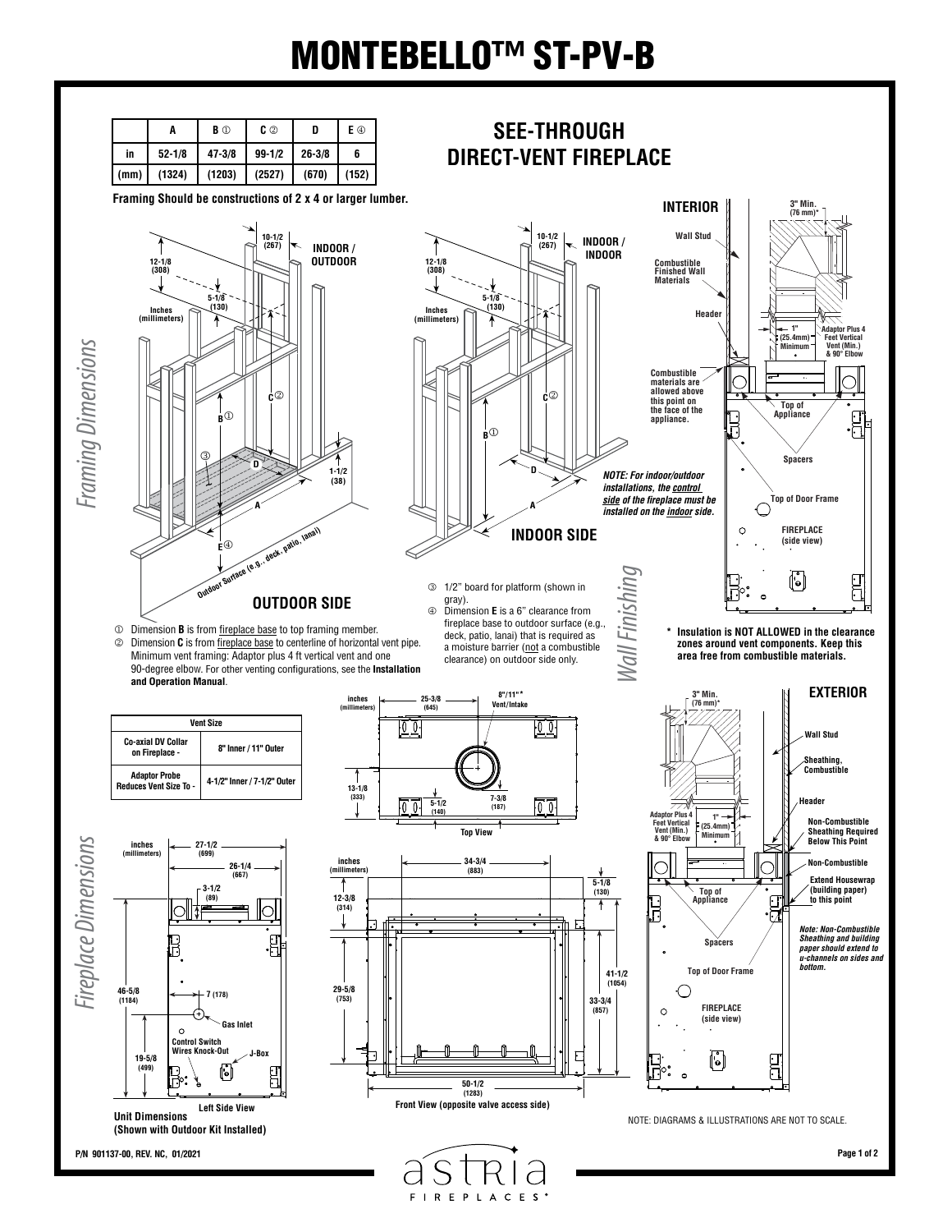## MONTEBELLO™ ST-PV-B



**FIREPLACES**